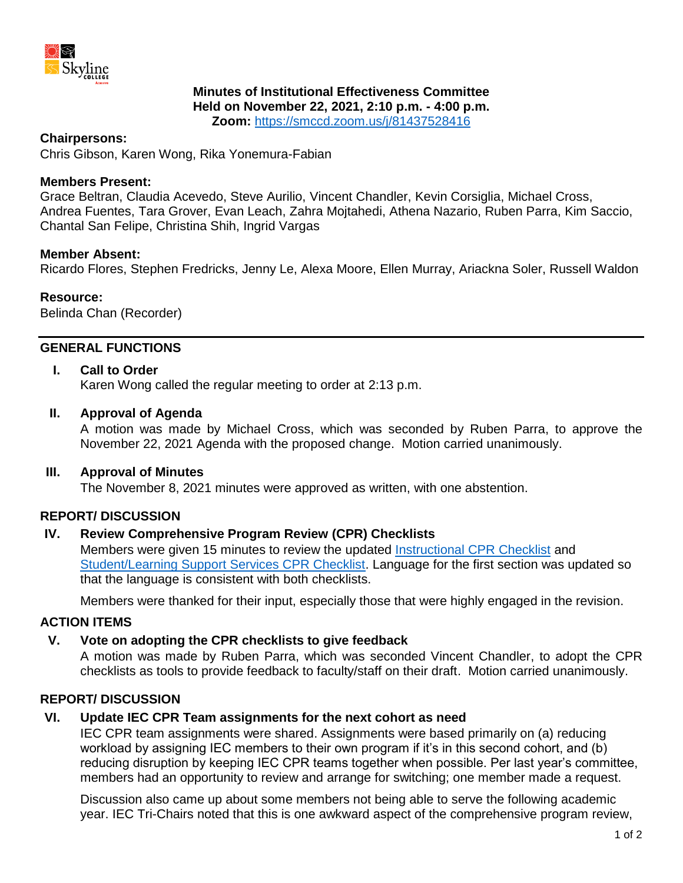

# **Minutes of Institutional Effectiveness Committee**

**Held on November 22, 2021, 2:10 p.m. - 4:00 p.m.**

**Zoom:** <https://smccd.zoom.us/j/81437528416>

#### **Chairpersons:**

Chris Gibson, Karen Wong, Rika Yonemura-Fabian

#### **Members Present:**

Grace Beltran, Claudia Acevedo, Steve Aurilio, Vincent Chandler, Kevin Corsiglia, Michael Cross, Andrea Fuentes, Tara Grover, Evan Leach, Zahra Mojtahedi, Athena Nazario, Ruben Parra, Kim Saccio, Chantal San Felipe, Christina Shih, Ingrid Vargas

#### **Member Absent:**

Ricardo Flores, Stephen Fredricks, Jenny Le, Alexa Moore, Ellen Murray, Ariackna Soler, Russell Waldon

#### **Resource:**

Belinda Chan (Recorder)

# **GENERAL FUNCTIONS**

# **I. Call to Order**

Karen Wong called the regular meeting to order at 2:13 p.m.

#### **II. Approval of Agenda**

A motion was made by Michael Cross, which was seconded by Ruben Parra, to approve the November 22, 2021 Agenda with the proposed change. Motion carried unanimously.

#### **III. Approval of Minutes**

The November 8, 2021 minutes were approved as written, with one abstention.

# **REPORT/ DISCUSSION**

# **IV. Review Comprehensive Program Review (CPR) Checklists**

Members were given 15 minutes to review the updated [Instructional CPR Checklist](https://docs.google.com/document/d/1wojIBaQm5myScm2Xq126i-kWSIThphBz/edit?usp=sharing&ouid=106077962206322021227&rtpof=true&sd=true) and [Student/Learning Support Services CPR Checklist.](https://docs.google.com/document/d/1EqgUIxHxf6RtRF629U59tHCxahTpCjWU/edit?usp=sharing&ouid=106077962206322021227&rtpof=true&sd=true) Language for the first section was updated so that the language is consistent with both checklists.

Members were thanked for their input, especially those that were highly engaged in the revision.

# **ACTION ITEMS**

#### **V. Vote on adopting the CPR checklists to give feedback**

A motion was made by Ruben Parra, which was seconded Vincent Chandler, to adopt the CPR checklists as tools to provide feedback to faculty/staff on their draft. Motion carried unanimously.

# **REPORT/ DISCUSSION**

# **VI. Update IEC CPR Team assignments for the next cohort as need**

IEC CPR team assignments were shared. Assignments were based primarily on (a) reducing workload by assigning IEC members to their own program if it's in this second cohort, and (b) reducing disruption by keeping IEC CPR teams together when possible. Per last year's committee, members had an opportunity to review and arrange for switching; one member made a request.

Discussion also came up about some members not being able to serve the following academic year. IEC Tri-Chairs noted that this is one awkward aspect of the comprehensive program review,